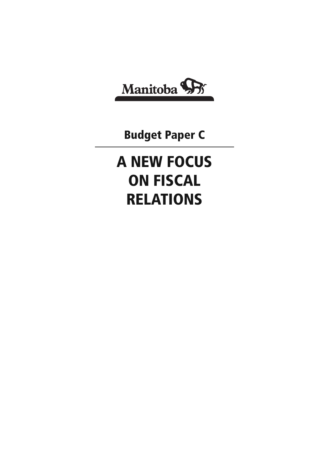

**Budget Paper C**

# **A NEW FOCUS ON FISCAL RELATIONS**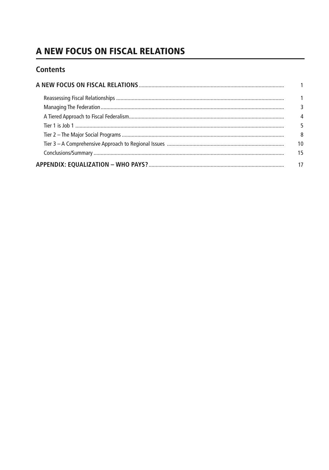# A NEW FOCUS ON FISCAL RELATIONS

# **Contents**

| 1  |
|----|
|    |
| 4  |
| 5  |
| 8  |
| 10 |
| 15 |
| 17 |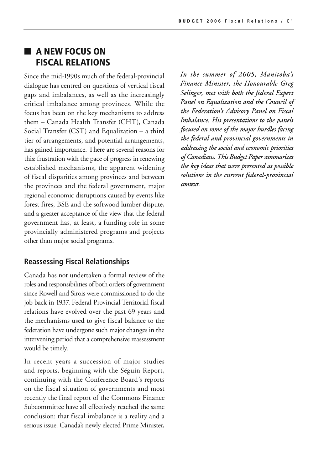# ■ **A NEW FOCUS ON FISCAL RELATIONS**

Since the mid-1990s much of the federal-provincial dialogue has centred on questions of vertical fiscal gaps and imbalances, as well as the increasingly critical imbalance among provinces. While the focus has been on the key mechanisms to address them – Canada Health Transfer (CHT), Canada Social Transfer (CST) and Equalization – a third tier of arrangements, and potential arrangements, has gained importance. There are several reasons for this: frustration with the pace of progress in renewing established mechanisms, the apparent widening of fiscal disparities among provinces and between the provinces and the federal government, major regional economic disruptions caused by events like forest fires, BSE and the softwood lumber dispute, and a greater acceptance of the view that the federal government has, at least, a funding role in some provincially administered programs and projects other than major social programs.

#### **Reassessing Fiscal Relationships**

Canada has not undertaken a formal review of the roles and responsibilities of both orders of government since Rowell and Sirois were commissioned to do the job back in 1937. Federal-Provincial-Territorial fiscal relations have evolved over the past 69 years and the mechanisms used to give fiscal balance to the federation have undergone such major changes in the intervening period that a comprehensive reassessment would be timely.

In recent years a succession of major studies and reports, beginning with the Séguin Report, continuing with the Conference Board's reports on the fiscal situation of governments and most recently the final report of the Commons Finance Subcommittee have all effectively reached the same conclusion: that fiscal imbalance is a reality and a serious issue. Canada's newly elected Prime Minister,

*In the summer of 2005, Manitoba's Finance Minister, the Honourable Greg Selinger, met with both the federal Expert Panel on Equalization and the Council of the Federation's Advisory Panel on Fiscal Imbalance. His presentations to the panels focused on some of the major hurdles facing the federal and provincial governments in addressing the social and economic priorities of Canadians. This Budget Paper summarizes the key ideas that were presented as possible solutions in the current federal-provincial context.*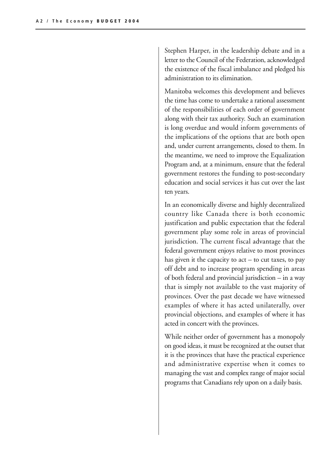Stephen Harper, in the leadership debate and in a letter to the Council of the Federation, acknowledged the existence of the fiscal imbalance and pledged his administration to its elimination.

Manitoba welcomes this development and believes the time has come to undertake a rational assessment of the responsibilities of each order of government along with their tax authority. Such an examination is long overdue and would inform governments of the implications of the options that are both open and, under current arrangements, closed to them. In the meantime, we need to improve the Equalization Program and, at a minimum, ensure that the federal government restores the funding to post-secondary education and social services it has cut over the last ten years.

In an economically diverse and highly decentralized country like Canada there is both economic justification and public expectation that the federal government play some role in areas of provincial jurisdiction. The current fiscal advantage that the federal government enjoys relative to most provinces has given it the capacity to  $act - to cut taxes$ , to pay off debt and to increase program spending in areas of both federal and provincial jurisdiction – in a way that is simply not available to the vast majority of provinces. Over the past decade we have witnessed examples of where it has acted unilaterally, over provincial objections, and examples of where it has acted in concert with the provinces.

While neither order of government has a monopoly on good ideas, it must be recognized at the outset that it is the provinces that have the practical experience and administrative expertise when it comes to managing the vast and complex range of major social programs that Canadians rely upon on a daily basis.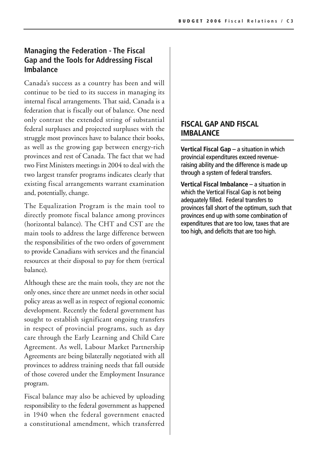## **Managing the Federation - The Fiscal Gap and the Tools for Addressing Fiscal Imbalance**

Canada's success as a country has been and will continue to be tied to its success in managing its internal fiscal arrangements. That said, Canada is a federation that is fiscally out of balance. One need only contrast the extended string of substantial federal surpluses and projected surpluses with the struggle most provinces have to balance their books, as well as the growing gap between energy-rich provinces and rest of Canada. The fact that we had two First Ministers meetings in 2004 to deal with the two largest transfer programs indicates clearly that existing fiscal arrangements warrant examination and, potentially, change.

The Equalization Program is the main tool to directly promote fiscal balance among provinces (horizontal balance). The CHT and CST are the main tools to address the large difference between the responsibilities of the two orders of government to provide Canadians with services and the financial resources at their disposal to pay for them (vertical balance).

Although these are the main tools, they are not the only ones, since there are unmet needs in other social policy areas as well as in respect of regional economic development. Recently the federal government has sought to establish significant ongoing transfers in respect of provincial programs, such as day care through the Early Learning and Child Care Agreement. As well, Labour Market Partnership Agreements are being bilaterally negotiated with all provinces to address training needs that fall outside of those covered under the Employment Insurance program.

Fiscal balance may also be achieved by uploading responsibility to the federal government as happened in 1940 when the federal government enacted a constitutional amendment, which transferred

#### **FISCAL GAP AND FISCAL IMBALANCE**

**Vertical Fiscal Gap** – a situation in which provincial expenditures exceed revenueraising ability and the difference is made up through a system of federal transfers.

**Vertical Fiscal Imbalance** – a situation in which the Vertical Fiscal Gap is not being adequately filled. Federal transfers to provinces fall short of the optimum, such that provinces end up with some combination of expenditures that are too low, taxes that are too high, and deficits that are too high.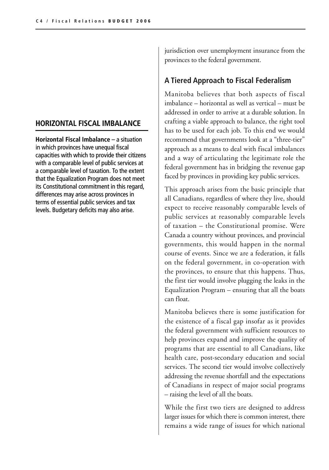#### **HORIZONTAL FISCAL IMBALANCE**

**Horizontal Fiscal Imbalance** – a situation in which provinces have unequal fiscal capacities with which to provide their citizens with a comparable level of public services at a comparable level of taxation. To the extent that the Equalization Program does not meet its Constitutional commitment in this regard, differences may arise across provinces in terms of essential public services and tax levels. Budgetary deficits may also arise.

jurisdiction over unemployment insurance from the provinces to the federal government.

# **A Tiered Approach to Fiscal Federalism**

Manitoba believes that both aspects of fiscal imbalance – horizontal as well as vertical – must be addressed in order to arrive at a durable solution. In crafting a viable approach to balance, the right tool has to be used for each job. To this end we would recommend that governments look at a "three-tier" approach as a means to deal with fiscal imbalances and a way of articulating the legitimate role the federal government has in bridging the revenue gap faced by provinces in providing key public services.

This approach arises from the basic principle that all Canadians, regardless of where they live, should expect to receive reasonably comparable levels of public services at reasonably comparable levels of taxation – the Constitutional promise. Were Canada a country without provinces, and provincial governments, this would happen in the normal course of events. Since we are a federation, it falls on the federal government, in co-operation with the provinces, to ensure that this happens. Thus, the first tier would involve plugging the leaks in the Equalization Program – ensuring that all the boats can float.

Manitoba believes there is some justification for the existence of a fiscal gap insofar as it provides the federal government with sufficient resources to help provinces expand and improve the quality of programs that are essential to all Canadians, like health care, post-secondary education and social services. The second tier would involve collectively addressing the revenue shortfall and the expectations of Canadians in respect of major social programs – raising the level of all the boats.

While the first two tiers are designed to address larger issues for which there is common interest, there remains a wide range of issues for which national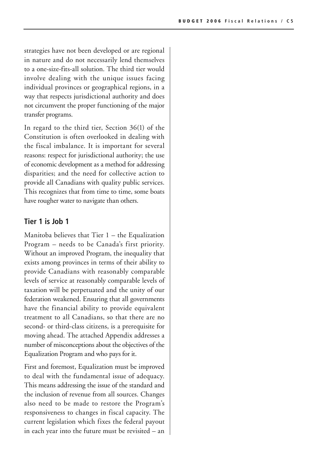strategies have not been developed or are regional in nature and do not necessarily lend themselves to a one-size-fits-all solution. The third tier would involve dealing with the unique issues facing individual provinces or geographical regions, in a way that respects jurisdictional authority and does not circumvent the proper functioning of the major transfer programs.

In regard to the third tier, Section 36(1) of the Constitution is often overlooked in dealing with the fiscal imbalance. It is important for several reasons: respect for jurisdictional authority; the use of economic development as a method for addressing disparities; and the need for collective action to provide all Canadians with quality public services. This recognizes that from time to time, some boats have rougher water to navigate than others.

#### **Tier 1 is Job 1**

Manitoba believes that Tier 1 – the Equalization Program – needs to be Canada's first priority. Without an improved Program, the inequality that exists among provinces in terms of their ability to provide Canadians with reasonably comparable levels of service at reasonably comparable levels of taxation will be perpetuated and the unity of our federation weakened. Ensuring that all governments have the financial ability to provide equivalent treatment to all Canadians, so that there are no second- or third-class citizens, is a prerequisite for moving ahead. The attached Appendix addresses a number of misconceptions about the objectives of the Equalization Program and who pays for it.

First and foremost, Equalization must be improved to deal with the fundamental issue of adequacy. This means addressing the issue of the standard and the inclusion of revenue from all sources. Changes also need to be made to restore the Program's responsiveness to changes in fiscal capacity. The current legislation which fixes the federal payout in each year into the future must be revisited – an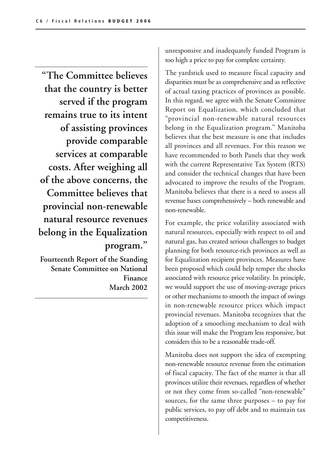**"The Committee believes that the country is better served if the program remains true to its intent of assisting provinces provide comparable services at comparable costs. After weighing all of the above concerns, the Committee believes that provincial non-renewable natural resource revenues belong in the Equalization program."**

**Fourteenth Report of the Standing Senate Committee on National Finance March 2002** unresponsive and inadequately funded Program is too high a price to pay for complete certainty.

The yardstick used to measure fiscal capacity and disparities must be as comprehensive and as reflective of actual taxing practices of provinces as possible. In this regard, we agree with the Senate Committee Report on Equalization, which concluded that "provincial non-renewable natural resources belong in the Equalization program." Manitoba believes that the best measure is one that includes all provinces and all revenues. For this reason we have recommended to both Panels that they work with the current Representative Tax System (RTS) and consider the technical changes that have been advocated to improve the results of the Program. Manitoba believes that there is a need to assess all revenue bases comprehensively – both renewable and non-renewable.

For example, the price volatility associated with natural resources, especially with respect to oil and natural gas, has created serious challenges to budget planning for both resource-rich provinces as well as for Equalization recipient provinces. Measures have been proposed which could help temper the shocks associated with resource price volatility. In principle, we would support the use of moving-average prices or other mechanisms to smooth the impact of swings in non-renewable resource prices which impact provincial revenues. Manitoba recognizes that the adoption of a smoothing mechanism to deal with this issue will make the Program less responsive, but considers this to be a reasonable trade-off.

Manitoba does not support the idea of exempting non-renewable resource revenue from the estimation of fiscal capacity. The fact of the matter is that all provinces utilize their revenues, regardless of whether or not they come from so-called "non-renewable" sources, for the same three purposes – to pay for public services, to pay off debt and to maintain tax competitiveness.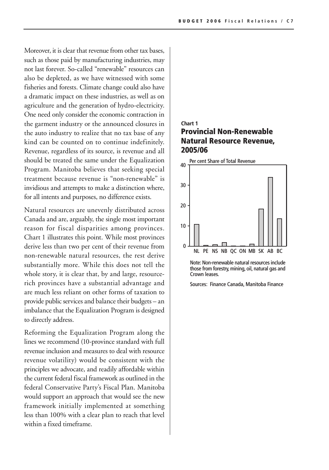Moreover, it is clear that revenue from other tax bases, such as those paid by manufacturing industries, may not last forever. So-called "renewable" resources can also be depleted, as we have witnessed with some fisheries and forests. Climate change could also have a dramatic impact on these industries, as well as on agriculture and the generation of hydro-electricity. One need only consider the economic contraction in the garment industry or the announced closures in the auto industry to realize that no tax base of any kind can be counted on to continue indefinitely. Revenue, regardless of its source, is revenue and all should be treated the same under the Equalization Program. Manitoba believes that seeking special treatment because revenue is "non-renewable" is invidious and attempts to make a distinction where, for all intents and purposes, no difference exists.

Natural resources are unevenly distributed across Canada and are, arguably, the single most important reason for fiscal disparities among provinces. Chart 1 illustrates this point. While most provinces derive less than two per cent of their revenue from non-renewable natural resources, the rest derive substantially more. While this does not tell the whole story, it is clear that, by and large, resourcerich provinces have a substantial advantage and are much less reliant on other forms of taxation to provide public services and balance their budgets – an imbalance that the Equalization Program is designed to directly address.

Reforming the Equalization Program along the lines we recommend (10-province standard with full revenue inclusion and measures to deal with resource revenue volatility) would be consistent with the principles we advocate, and readily affordable within the current federal fiscal framework as outlined in the federal Conservative Party's Fiscal Plan. Manitoba would support an approach that would see the new framework initially implemented at something less than 100% with a clear plan to reach that level within a fixed timeframe.

#### **Provincial Non-Renewable Natural Resource Revenue, 2005/06 Chart 1**



Note: Non-renewable natural resources include those from forestry, mining, oil, natural gas and Crown leases.

Sources: Finance Canada, Manitoba Finance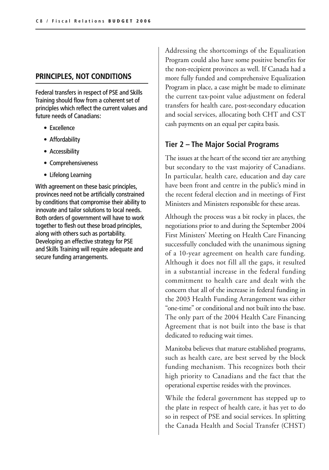#### **PRINCIPLES, NOT CONDITIONS**

Federal transfers in respect of PSE and Skills Training should flow from a coherent set of principles which reflect the current values and future needs of Canadians:

- Excellence
- Affordability
- Accessibility
- Comprehensiveness
- Lifelong Learning

With agreement on these basic principles, provinces need not be artificially constrained by conditions that compromise their ability to innovate and tailor solutions to local needs. Both orders of government will have to work together to flesh out these broad principles, along with others such as portability. Developing an effective strategy for PSE and Skills Training will require adequate and secure funding arrangements.

Addressing the shortcomings of the Equalization Program could also have some positive benefits for the non-recipient provinces as well. If Canada had a more fully funded and comprehensive Equalization Program in place, a case might be made to eliminate the current tax-point value adjustment on federal transfers for health care, post-secondary education and social services, allocating both CHT and CST cash payments on an equal per capita basis.

#### **Tier 2 – The Major Social Programs**

The issues at the heart of the second tier are anything but secondary to the vast majority of Canadians. In particular, health care, education and day care have been front and centre in the public's mind in the recent federal election and in meetings of First Ministers and Ministers responsible for these areas.

Although the process was a bit rocky in places, the negotiations prior to and during the September 2004 First Ministers' Meeting on Health Care Financing successfully concluded with the unanimous signing of a 10-year agreement on health care funding. Although it does not fill all the gaps, it resulted in a substantial increase in the federal funding commitment to health care and dealt with the concern that all of the increase in federal funding in the 2003 Health Funding Arrangement was either "one-time" or conditional and not built into the base. The only part of the 2004 Health Care Financing Agreement that is not built into the base is that dedicated to reducing wait times.

Manitoba believes that mature established programs, such as health care, are best served by the block funding mechanism. This recognizes both their high priority to Canadians and the fact that the operational expertise resides with the provinces.

While the federal government has stepped up to the plate in respect of health care, it has yet to do so in respect of PSE and social services. In splitting the Canada Health and Social Transfer (CHST)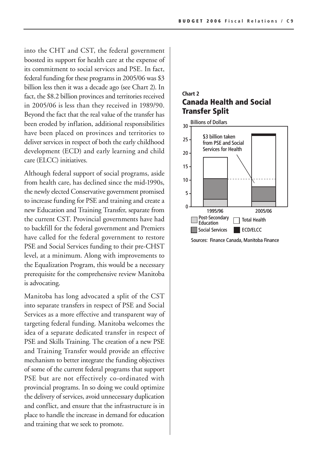into the CHT and CST, the federal government boosted its support for health care at the expense of its commitment to social services and PSE. In fact, federal funding for these programs in 2005/06 was \$3 billion less then it was a decade ago (see Chart 2). In fact, the \$8.2 billion provinces and territories received in 2005/06 is less than they received in 1989/90. Beyond the fact that the real value of the transfer has been eroded by inflation, additional responsibilities have been placed on provinces and territories to deliver services in respect of both the early childhood development (ECD) and early learning and child care (ELCC) initiatives.

Although federal support of social programs, aside from health care, has declined since the mid-1990s, the newly elected Conservative government promised to increase funding for PSE and training and create a new Education and Training Transfer, separate from the current CST. Provincial governments have had to backfill for the federal government and Premiers have called for the federal government to restore PSE and Social Services funding to their pre-CHST level, at a minimum. Along with improvements to the Equalization Program, this would be a necessary prerequisite for the comprehensive review Manitoba is advocating.

Manitoba has long advocated a split of the CST into separate transfers in respect of PSE and Social Services as a more effective and transparent way of targeting federal funding. Manitoba welcomes the idea of a separate dedicated transfer in respect of PSE and Skills Training. The creation of a new PSE and Training Transfer would provide an effective mechanism to better integrate the funding objectives of some of the current federal programs that support PSE but are not effectively co-ordinated with provincial programs. In so doing we could optimize the delivery of services, avoid unnecessary duplication and conflict, and ensure that the infrastructure is in place to handle the increase in demand for education and training that we seek to promote.

#### **Chart 2 Canada Health and Social Transfer Split**



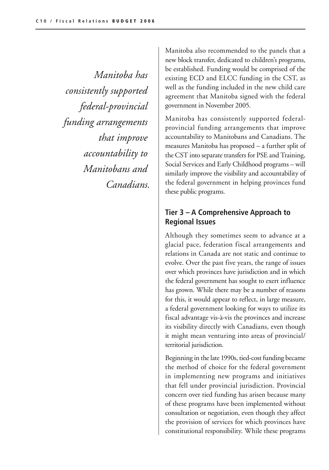*Manitoba has consistently supported federal-provincial funding arrangements that improve accountability to Manitobans and Canadians.*

Manitoba also recommended to the panels that a new block transfer, dedicated to children's programs, be established. Funding would be comprised of the existing ECD and ELCC funding in the CST, as well as the funding included in the new child care agreement that Manitoba signed with the federal government in November 2005.

Manitoba has consistently supported federalprovincial funding arrangements that improve accountability to Manitobans and Canadians. The measures Manitoba has proposed – a further split of the CST into separate transfers for PSE and Training, Social Services and Early Childhood programs – will similarly improve the visibility and accountability of the federal government in helping provinces fund these public programs.

## **Tier 3 – A Comprehensive Approach to Regional Issues**

Although they sometimes seem to advance at a glacial pace, federation fiscal arrangements and relations in Canada are not static and continue to evolve. Over the past five years, the range of issues over which provinces have jurisdiction and in which the federal government has sought to exert influence has grown. While there may be a number of reasons for this, it would appear to reflect, in large measure, a federal government looking for ways to utilize its fiscal advantage vis-à-vis the provinces and increase its visibility directly with Canadians, even though it might mean venturing into areas of provincial/ territorial jurisdiction.

Beginning in the late 1990s, tied-cost funding became the method of choice for the federal government in implementing new programs and initiatives that fell under provincial jurisdiction. Provincial concern over tied funding has arisen because many of these programs have been implemented without consultation or negotiation, even though they affect the provision of services for which provinces have constitutional responsibility. While these programs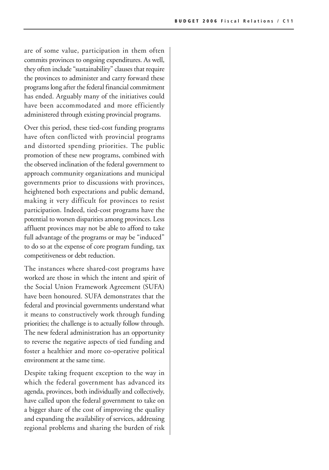are of some value, participation in them often commits provinces to ongoing expenditures. As well, they often include "sustainability" clauses that require the provinces to administer and carry forward these programs long after the federal financial commitment has ended. Arguably many of the initiatives could have been accommodated and more efficiently administered through existing provincial programs.

Over this period, these tied-cost funding programs have often conflicted with provincial programs and distorted spending priorities. The public promotion of these new programs, combined with the observed inclination of the federal government to approach community organizations and municipal governments prior to discussions with provinces, heightened both expectations and public demand, making it very difficult for provinces to resist participation. Indeed, tied-cost programs have the potential to worsen disparities among provinces. Less affluent provinces may not be able to afford to take full advantage of the programs or may be "induced" to do so at the expense of core program funding, tax competitiveness or debt reduction.

The instances where shared-cost programs have worked are those in which the intent and spirit of the Social Union Framework Agreement (SUFA) have been honoured. SUFA demonstrates that the federal and provincial governments understand what it means to constructively work through funding priorities; the challenge is to actually follow through. The new federal administration has an opportunity to reverse the negative aspects of tied funding and foster a healthier and more co-operative political environment at the same time.

Despite taking frequent exception to the way in which the federal government has advanced its agenda, provinces, both individually and collectively, have called upon the federal government to take on a bigger share of the cost of improving the quality and expanding the availability of services, addressing regional problems and sharing the burden of risk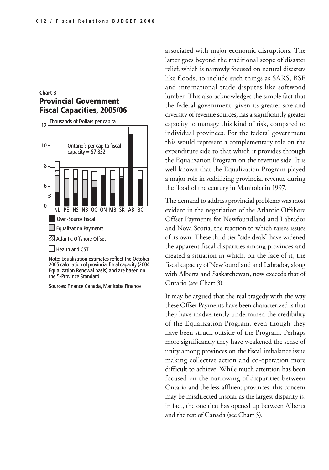#### **Chart 3 Provincial Government Fiscal Capacities, 2005/06**



Note: Equalization estimates reflect the October 2005 calculation of provincial fiscal capacity (2004 Equalization Renewal basis) and are based on the 5-Province Standard.

Sources: Finance Canada, Manitoba Finance

associated with major economic disruptions. The latter goes beyond the traditional scope of disaster relief, which is narrowly focused on natural disasters like floods, to include such things as SARS, BSE and international trade disputes like softwood lumber. This also acknowledges the simple fact that the federal government, given its greater size and diversity of revenue sources, has a significantly greater capacity to manage this kind of risk, compared to individual provinces. For the federal government this would represent a complementary role on the expenditure side to that which it provides through the Equalization Program on the revenue side. It is well known that the Equalization Program played a major role in stabilizing provincial revenue during the flood of the century in Manitoba in 1997.

The demand to address provincial problems was most evident in the negotiation of the Atlantic Offshore Offset Payments for Newfoundland and Labrador and Nova Scotia, the reaction to which raises issues of its own. These third tier "side deals" have widened the apparent fiscal disparities among provinces and created a situation in which, on the face of it, the fiscal capacity of Newfoundland and Labrador, along with Alberta and Saskatchewan, now exceeds that of Ontario (see Chart 3).

It may be argued that the real tragedy with the way these Offset Payments have been characterized is that they have inadvertently undermined the credibility of the Equalization Program, even though they have been struck outside of the Program. Perhaps more significantly they have weakened the sense of unity among provinces on the fiscal imbalance issue making collective action and co-operation more difficult to achieve. While much attention has been focused on the narrowing of disparities between Ontario and the less-affluent provinces, this concern may be misdirected insofar as the largest disparity is, in fact, the one that has opened up between Alberta and the rest of Canada (see Chart 3).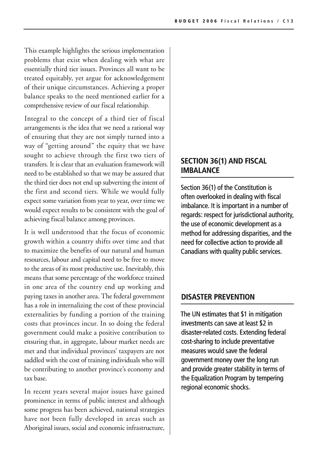This example highlights the serious implementation problems that exist when dealing with what are essentially third tier issues. Provinces all want to be treated equitably, yet argue for acknowledgement of their unique circumstances. Achieving a proper balance speaks to the need mentioned earlier for a comprehensive review of our fiscal relationship.

Integral to the concept of a third tier of fiscal arrangements is the idea that we need a rational way of ensuring that they are not simply turned into a way of "getting around" the equity that we have sought to achieve through the first two tiers of transfers. It is clear that an evaluation framework will need to be established so that we may be assured that the third tier does not end up subverting the intent of the first and second tiers. While we would fully expect some variation from year to year, over time we would expect results to be consistent with the goal of achieving fiscal balance among provinces.

It is well understood that the focus of economic growth within a country shifts over time and that to maximize the benefits of our natural and human resources, labour and capital need to be free to move to the areas of its most productive use. Inevitably, this means that some percentage of the workforce trained in one area of the country end up working and paying taxes in another area. The federal government has a role in internalizing the cost of these provincial externalities by funding a portion of the training costs that provinces incur. In so doing the federal government could make a positive contribution to ensuring that, in aggregate, labour market needs are met and that individual provinces' taxpayers are not saddled with the cost of training individuals who will be contributing to another province's economy and tax base.

In recent years several major issues have gained prominence in terms of public interest and although some progress has been achieved, national strategies have not been fully developed in areas such as Aboriginal issues, social and economic infrastructure,

#### **SECTION 36(1) AND FISCAL IMBALANCE**

Section 36(1) of the Constitution is often overlooked in dealing with fiscal imbalance. It is important in a number of regards: respect for jurisdictional authority, the use of economic development as a method for addressing disparities, and the need for collective action to provide all Canadians with quality public services.

#### **DISASTER PREVENTION**

The UN estimates that \$1 in mitigation investments can save at least \$2 in disaster-related costs. Extending federal cost-sharing to include preventative measures would save the federal government money over the long run and provide greater stability in terms of the Equalization Program by tempering regional economic shocks.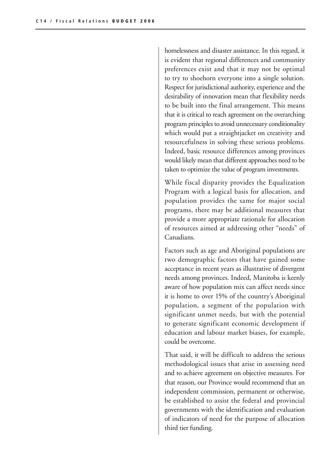homelessness and disaster assistance. In this regard, it is evident that regional differences and community preferences exist and that it may not be optimal to try to shoehorn everyone into a single solution. Respect for jurisdictional authority, experience and the desirability of innovation mean that flexibility needs to be built into the final arrangement. This means that it is critical to reach agreement on the overarching program principles to avoid unnecessary conditionality which would put a straightjacket on creativity and resourcefulness in solving these serious problems. Indeed, basic resource differences among provinces would likely mean that different approaches need to be taken to optimize the value of program investments.

While fiscal disparity provides the Equalization Program with a logical basis for allocation, and population provides the same for major social programs, there may be additional measures that provide a more appropriate rationale for allocation of resources aimed at addressing other "needs" of Canadians.

Factors such as age and Aboriginal populations are two demographic factors that have gained some acceptance in recent years as illustrative of divergent needs among provinces. Indeed, Manitoba is keenly aware of how population mix can affect needs since it is home to over 15% of the country's Aboriginal population, a segment of the population with significant unmet needs, but with the potential to generate significant economic development if education and labour market biases, for example, could be overcome.

That said, it will be difficult to address the serious methodological issues that arise in assessing need and to achieve agreement on objective measures. For that reason, our Province would recommend that an independent commission, permanent or otherwise, be established to assist the federal and provincial governments with the identification and evaluation of indicators of need for the purpose of allocation third tier funding.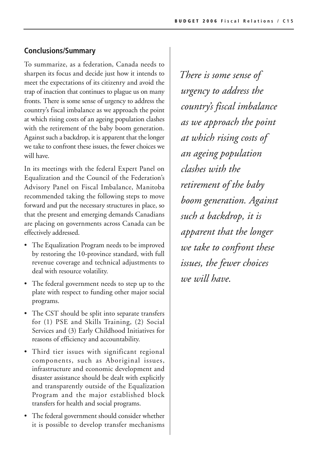## **Conclusions/Summary**

To summarize, as a federation, Canada needs to sharpen its focus and decide just how it intends to meet the expectations of its citizenry and avoid the trap of inaction that continues to plague us on many fronts. There is some sense of urgency to address the country's fiscal imbalance as we approach the point at which rising costs of an ageing population clashes with the retirement of the baby boom generation. Against such a backdrop, it is apparent that the longer we take to confront these issues, the fewer choices we will have.

In its meetings with the federal Expert Panel on Equalization and the Council of the Federation's Advisory Panel on Fiscal Imbalance, Manitoba recommended taking the following steps to move forward and put the necessary structures in place, so that the present and emerging demands Canadians are placing on governments across Canada can be effectively addressed.

- The Equalization Program needs to be improved by restoring the 10-province standard, with full revenue coverage and technical adjustments to deal with resource volatility.
- The federal government needs to step up to the plate with respect to funding other major social programs.
- The CST should be split into separate transfers for (1) PSE and Skills Training, (2) Social Services and (3) Early Childhood Initiatives for reasons of efficiency and accountability.
- Third tier issues with significant regional components, such as Aboriginal issues, infrastructure and economic development and disaster assistance should be dealt with explicitly and transparently outside of the Equalization Program and the major established block transfers for health and social programs.
- The federal government should consider whether it is possible to develop transfer mechanisms

*There is some sense of urgency to address the country's fiscal imbalance as we approach the point at which rising costs of an ageing population clashes with the retirement of the baby boom generation. Against such a backdrop, it is apparent that the longer we take to confront these issues, the fewer choices we will have.*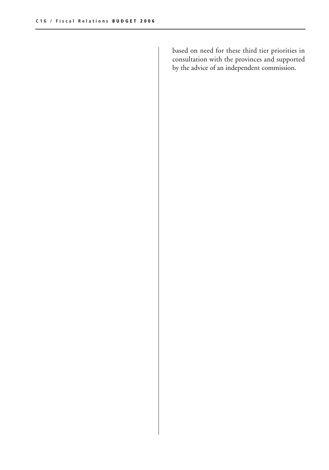based on need for these third tier priorities in consultation with the provinces and supported by the advice of an independent commission.